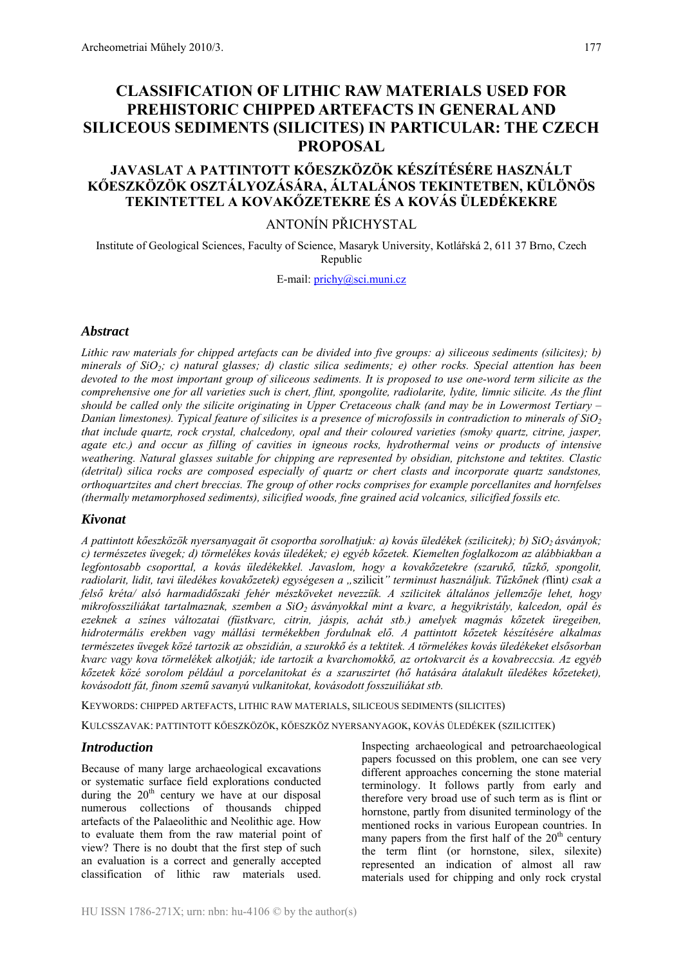# **CLASSIFICATION OF LITHIC RAW MATERIALS USED FOR PREHISTORIC CHIPPED ARTEFACTS IN GENERAL AND SILICEOUS SEDIMENTS (SILICITES) IN PARTICULAR: THE CZECH PROPOSAL**

## **JAVASLAT A PATTINTOTT KŐESZKÖZÖK KÉSZÍTÉSÉRE HASZNÁLT KŐESZKÖZÖK OSZTÁLYOZÁSÁRA, ÁLTALÁNOS TEKINTETBEN, KÜLÖNÖS TEKINTETTEL A KOVAKŐZETEKRE ÉS A KOVÁS ÜLEDÉKEKRE**

## ANTONÍN PŘICHYSTAL

Institute of Geological Sciences, Faculty of Science, Masaryk University, Kotlářská 2, 611 37 Brno, Czech Republic

E-mail: prichy@sci.muni.cz

#### *Abstract*

*Lithic raw materials for chipped artefacts can be divided into five groups: a) siliceous sediments (silicites); b) minerals of SiO2; c) natural glasses; d) clastic silica sediments; e) other rocks. Special attention has been devoted to the most important group of siliceous sediments. It is proposed to use one-word term silicite as the comprehensive one for all varieties such is chert, flint, spongolite, radiolarite, lydite, limnic silicite. As the flint should be called only the silicite originating in Upper Cretaceous chalk (and may be in Lowermost Tertiary – Danian limestones). Typical feature of silicites is a presence of microfossils in contradiction to minerals of SiO2 that include quartz, rock crystal, chalcedony, opal and their coloured varieties (smoky quartz, citrine, jasper, agate etc.) and occur as filling of cavities in igneous rocks, hydrothermal veins or products of intensive weathering. Natural glasses suitable for chipping are represented by obsidian, pitchstone and tektites. Clastic (detrital) silica rocks are composed especially of quartz or chert clasts and incorporate quartz sandstones, orthoquartzites and chert breccias. The group of other rocks comprises for example porcellanites and hornfelses (thermally metamorphosed sediments), silicified woods, fine grained acid volcanics, silicified fossils etc.* 

### *Kivonat*

*A pattintott kőeszközök nyersanyagait öt csoportba sorolhatjuk: a) kovás üledékek (szilicitek); b) SiO2 ásványok; c) természetes üvegek; d) törmelékes kovás üledékek; e) egyéb kőzetek. Kiemelten foglalkozom az alábbiakban a legfontosabb csoporttal, a kovás üledékekkel. Javaslom, hogy a kovakőzetekre (szarukő, tűzkő, spongolit, radiolarit, lidit, tavi üledékes kovakőzetek) egységesen a "*szilicit*" terminust használjuk. Tűzkőnek (*flint*) csak a felső kréta/ alsó harmadidőszaki fehér mészköveket nevezzük. A szilicitek általános jellemzője lehet, hogy mikrofossziliákat tartalmaznak, szemben a SiO2 ásványokkal mint a kvarc, a hegyikristály, kalcedon, opál és ezeknek a színes változatai (füstkvarc, citrin, jáspis, achát stb.) amelyek magmás kőzetek üregeiben, hidrotermális erekben vagy mállási termékekben fordulnak elő. A pattintott kőzetek készítésére alkalmas természetes üvegek közé tartozik az obszidián, a szurokkő és a tektitek. A törmelékes kovás üledékeket elsősorban kvarc vagy kova törmelékek alkotják; ide tartozik a kvarchomokkő, az ortokvarcit és a kovabreccsia. Az egyéb kőzetek közé sorolom például a porcelanitokat és a szaruszirtet (hő hatására átalakult üledékes kőzeteket), kovásodott fát, finom szemű savanyú vulkanitokat, kovásodott fosszuiliákat stb.* 

KEYWORDS: CHIPPED ARTEFACTS, LITHIC RAW MATERIALS, SILICEOUS SEDIMENTS (SILICITES)

KULCSSZAVAK: PATTINTOTT KŐESZKÖZÖK, KŐESZKÖZ NYERSANYAGOK, KOVÁS ÜLEDÉKEK (SZILICITEK)

### *Introduction*

Because of many large archaeological excavations or systematic surface field explorations conducted during the  $20<sup>th</sup>$  century we have at our disposal numerous collections of thousands chipped artefacts of the Palaeolithic and Neolithic age. How to evaluate them from the raw material point of view? There is no doubt that the first step of such an evaluation is a correct and generally accepted classification of lithic raw materials used.

Inspecting archaeological and petroarchaeological papers focussed on this problem, one can see very different approaches concerning the stone material terminology. It follows partly from early and therefore very broad use of such term as is flint or hornstone, partly from disunited terminology of the mentioned rocks in various European countries. In many papers from the first half of the  $20<sup>th</sup>$  century the term flint (or hornstone, silex, silexite) represented an indication of almost all raw materials used for chipping and only rock crystal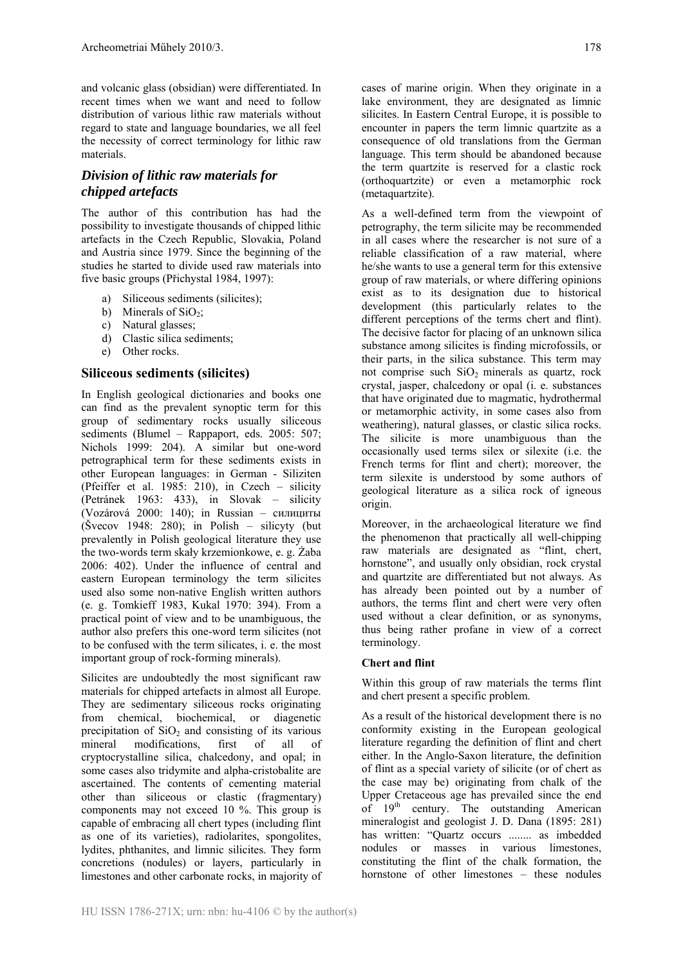and volcanic glass (obsidian) were differentiated. In recent times when we want and need to follow distribution of various lithic raw materials without regard to state and language boundaries, we all feel the necessity of correct terminology for lithic raw materials.

## *Division of lithic raw materials for chipped artefacts*

The author of this contribution has had the possibility to investigate thousands of chipped lithic artefacts in the Czech Republic, Slovakia, Poland and Austria since 1979. Since the beginning of the studies he started to divide used raw materials into five basic groups (Přichystal 1984, 1997):

- a) Siliceous sediments (silicites);
- b) Minerals of  $SiO<sub>2</sub>$ ;
- c) Natural glasses;
- d) Clastic silica sediments;
- e) Other rocks.

#### **Siliceous sediments (silicites)**

In English geological dictionaries and books one can find as the prevalent synoptic term for this group of sedimentary rocks usually siliceous sediments (Blumel – Rappaport, eds. 2005: 507; Nichols 1999: 204). A similar but one-word petrographical term for these sediments exists in other European languages: in German - Siliziten (Pfeiffer et al. 1985: 210), in Czech – silicity (Petránek 1963: 433), in Slovak – silicity (Vozárová 2000: 140); in Russian – силициты  $(Svecov 1948: 280)$ ; in Polish – silicyty (but prevalently in Polish geological literature they use the two-words term skały krzemionkowe, e. g. Żaba 2006: 402). Under the influence of central and eastern European terminology the term silicites used also some non-native English written authors (e. g. Tomkieff 1983, Kukal 1970: 394). From a practical point of view and to be unambiguous, the author also prefers this one-word term silicites (not to be confused with the term silicates, i. e. the most important group of rock-forming minerals).

Silicites are undoubtedly the most significant raw materials for chipped artefacts in almost all Europe. They are sedimentary siliceous rocks originating from chemical, biochemical, or diagenetic precipitation of  $SiO<sub>2</sub>$  and consisting of its various mineral modifications, first of all of cryptocrystalline silica, chalcedony, and opal; in some cases also tridymite and alpha-cristobalite are ascertained. The contents of cementing material other than siliceous or clastic (fragmentary) components may not exceed 10 %. This group is capable of embracing all chert types (including flint as one of its varieties), radiolarites, spongolites, lydites, phthanites, and limnic silicites. They form concretions (nodules) or layers, particularly in limestones and other carbonate rocks, in majority of cases of marine origin. When they originate in a lake environment, they are designated as limnic silicites. In Eastern Central Europe, it is possible to encounter in papers the term limnic quartzite as a consequence of old translations from the German language. This term should be abandoned because the term quartzite is reserved for a clastic rock (orthoquartzite) or even a metamorphic rock (metaquartzite).

As a well-defined term from the viewpoint of petrography, the term silicite may be recommended in all cases where the researcher is not sure of a reliable classification of a raw material, where he/she wants to use a general term for this extensive group of raw materials, or where differing opinions exist as to its designation due to historical development (this particularly relates to the different perceptions of the terms chert and flint). The decisive factor for placing of an unknown silica substance among silicites is finding microfossils, or their parts, in the silica substance. This term may not comprise such  $SiO<sub>2</sub>$  minerals as quartz, rock crystal, jasper, chalcedony or opal (i. e. substances that have originated due to magmatic, hydrothermal or metamorphic activity, in some cases also from weathering), natural glasses, or clastic silica rocks. The silicite is more unambiguous than the occasionally used terms silex or silexite (i.e. the French terms for flint and chert); moreover, the term silexite is understood by some authors of geological literature as a silica rock of igneous origin.

Moreover, in the archaeological literature we find the phenomenon that practically all well-chipping raw materials are designated as "flint, chert, hornstone", and usually only obsidian, rock crystal and quartzite are differentiated but not always. As has already been pointed out by a number of authors, the terms flint and chert were very often used without a clear definition, or as synonyms, thus being rather profane in view of a correct terminology.

#### **Chert and flint**

Within this group of raw materials the terms flint and chert present a specific problem.

As a result of the historical development there is no conformity existing in the European geological literature regarding the definition of flint and chert either. In the Anglo-Saxon literature, the definition of flint as a special variety of silicite (or of chert as the case may be) originating from chalk of the Upper Cretaceous age has prevailed since the end of 19<sup>th</sup> century. The outstanding American mineralogist and geologist J. D. Dana (1895: 281) has written: "Quartz occurs ........ as imbedded nodules or masses in various limestones, constituting the flint of the chalk formation, the hornstone of other limestones – these nodules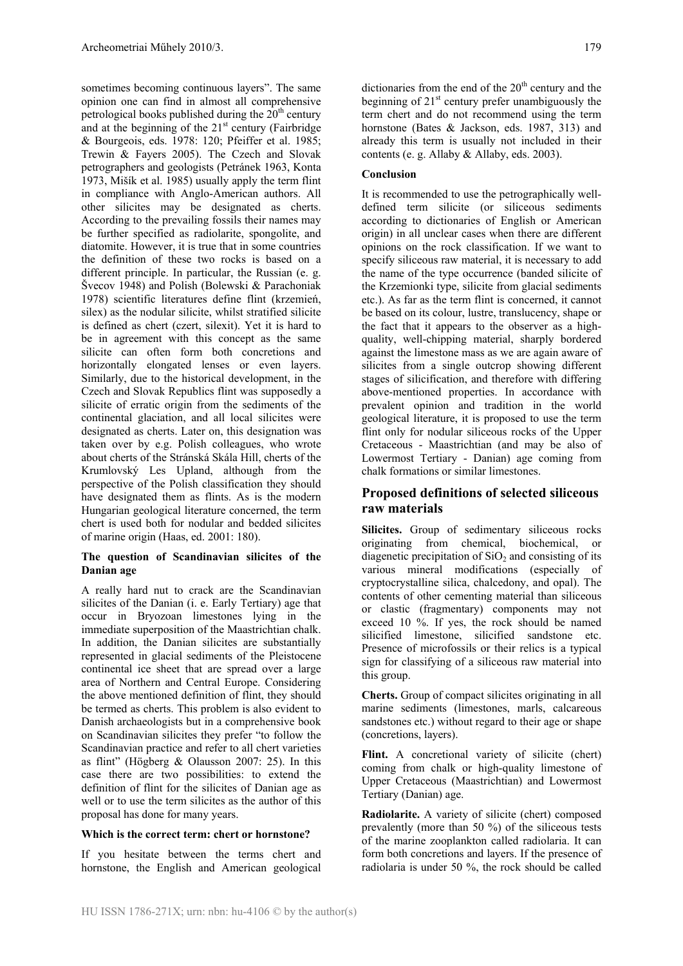sometimes becoming continuous layers". The same opinion one can find in almost all comprehensive petrological books published during the  $20<sup>th</sup>$  century and at the beginning of the  $21<sup>st</sup>$  century (Fairbridge) & Bourgeois, eds. 1978: 120; Pfeiffer et al. 1985; Trewin & Fayers 2005). The Czech and Slovak petrographers and geologists (Petránek 1963, Konta 1973, Mišík et al. 1985) usually apply the term flint in compliance with Anglo-American authors. All other silicites may be designated as cherts. According to the prevailing fossils their names may be further specified as radiolarite, spongolite, and diatomite. However, it is true that in some countries the definition of these two rocks is based on a different principle. In particular, the Russian (e. g. Švecov 1948) and Polish (Bolewski & Parachoniak 1978) scientific literatures define flint (krzemień, silex) as the nodular silicite, whilst stratified silicite is defined as chert (czert, silexit). Yet it is hard to be in agreement with this concept as the same silicite can often form both concretions and horizontally elongated lenses or even layers. Similarly, due to the historical development, in the Czech and Slovak Republics flint was supposedly a silicite of erratic origin from the sediments of the continental glaciation, and all local silicites were designated as cherts. Later on, this designation was taken over by e.g. Polish colleagues, who wrote about cherts of the Stránská Skála Hill, cherts of the Krumlovský Les Upland, although from the perspective of the Polish classification they should have designated them as flints. As is the modern Hungarian geological literature concerned, the term chert is used both for nodular and bedded silicites of marine origin (Haas, ed. 2001: 180).

#### **The question of Scandinavian silicites of the Danian age**

A really hard nut to crack are the Scandinavian silicites of the Danian (i. e. Early Tertiary) age that occur in Bryozoan limestones lying in the immediate superposition of the Maastrichtian chalk. In addition, the Danian silicites are substantially represented in glacial sediments of the Pleistocene continental ice sheet that are spread over a large area of Northern and Central Europe. Considering the above mentioned definition of flint, they should be termed as cherts. This problem is also evident to Danish archaeologists but in a comprehensive book on Scandinavian silicites they prefer "to follow the Scandinavian practice and refer to all chert varieties as flint" (Högberg & Olausson 2007: 25). In this case there are two possibilities: to extend the definition of flint for the silicites of Danian age as well or to use the term silicites as the author of this proposal has done for many years.

#### **Which is the correct term: chert or hornstone?**

If you hesitate between the terms chert and hornstone, the English and American geological

dictionaries from the end of the  $20<sup>th</sup>$  century and the beginning of  $21<sup>st</sup>$  century prefer unambiguously the term chert and do not recommend using the term hornstone (Bates & Jackson, eds. 1987, 313) and already this term is usually not included in their contents (e. g. Allaby & Allaby, eds. 2003).

#### **Conclusion**

It is recommended to use the petrographically welldefined term silicite (or siliceous sediments according to dictionaries of English or American origin) in all unclear cases when there are different opinions on the rock classification. If we want to specify siliceous raw material, it is necessary to add the name of the type occurrence (banded silicite of the Krzemionki type, silicite from glacial sediments etc.). As far as the term flint is concerned, it cannot be based on its colour, lustre, translucency, shape or the fact that it appears to the observer as a highquality, well-chipping material, sharply bordered against the limestone mass as we are again aware of silicites from a single outcrop showing different stages of silicification, and therefore with differing above-mentioned properties. In accordance with prevalent opinion and tradition in the world geological literature, it is proposed to use the term flint only for nodular siliceous rocks of the Upper Cretaceous - Maastrichtian (and may be also of Lowermost Tertiary - Danian) age coming from chalk formations or similar limestones.

## **Proposed definitions of selected siliceous raw materials**

**Silicites.** Group of sedimentary siliceous rocks originating from chemical, biochemical, or diagenetic precipitation of  $SiO<sub>2</sub>$  and consisting of its various mineral modifications (especially of cryptocrystalline silica, chalcedony, and opal). The contents of other cementing material than siliceous or clastic (fragmentary) components may not exceed 10 %. If yes, the rock should be named silicified limestone, silicified sandstone etc. Presence of microfossils or their relics is a typical sign for classifying of a siliceous raw material into this group.

**Cherts.** Group of compact silicites originating in all marine sediments (limestones, marls, calcareous sandstones etc.) without regard to their age or shape (concretions, layers).

Flint. A concretional variety of silicite (chert) coming from chalk or high-quality limestone of Upper Cretaceous (Maastrichtian) and Lowermost Tertiary (Danian) age.

**Radiolarite.** A variety of silicite (chert) composed prevalently (more than 50 %) of the siliceous tests of the marine zooplankton called radiolaria. It can form both concretions and layers. If the presence of radiolaria is under 50 %, the rock should be called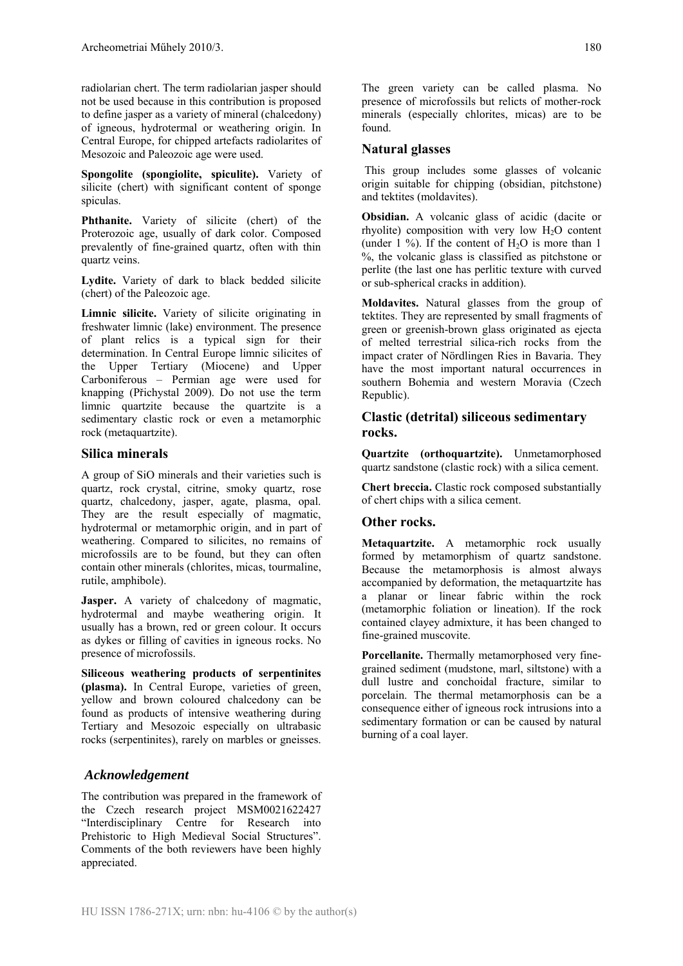radiolarian chert. The term radiolarian jasper should not be used because in this contribution is proposed to define jasper as a variety of mineral (chalcedony) of igneous, hydrotermal or weathering origin. In Central Europe, for chipped artefacts radiolarites of Mesozoic and Paleozoic age were used.

**Spongolite (spongiolite, spiculite).** Variety of silicite (chert) with significant content of sponge spiculas.

**Phthanite.** Variety of silicite (chert) of the Proterozoic age, usually of dark color. Composed prevalently of fine-grained quartz, often with thin quartz veins.

**Lydite.** Variety of dark to black bedded silicite (chert) of the Paleozoic age.

**Limnic silicite.** Variety of silicite originating in freshwater limnic (lake) environment. The presence of plant relics is a typical sign for their determination. In Central Europe limnic silicites of the Upper Tertiary (Miocene) and Upper Carboniferous – Permian age were used for knapping (Přichystal 2009). Do not use the term limnic quartzite because the quartzite is a sedimentary clastic rock or even a metamorphic rock (metaquartzite).

### **Silica minerals**

A group of SiO minerals and their varieties such is quartz, rock crystal, citrine, smoky quartz, rose quartz, chalcedony, jasper, agate, plasma, opal. They are the result especially of magmatic, hydrotermal or metamorphic origin, and in part of weathering. Compared to silicites, no remains of microfossils are to be found, but they can often contain other minerals (chlorites, micas, tourmaline, rutile, amphibole).

**Jasper.** A variety of chalcedony of magmatic, hydrotermal and maybe weathering origin. It usually has a brown, red or green colour. It occurs as dykes or filling of cavities in igneous rocks. No presence of microfossils.

**Siliceous weathering products of serpentinites (plasma).** In Central Europe, varieties of green, yellow and brown coloured chalcedony can be found as products of intensive weathering during Tertiary and Mesozoic especially on ultrabasic rocks (serpentinites), rarely on marbles or gneisses.

## *Acknowledgement*

The contribution was prepared in the framework of the Czech research project MSM0021622427 "Interdisciplinary Centre for Research into Prehistoric to High Medieval Social Structures". Comments of the both reviewers have been highly appreciated.

The green variety can be called plasma. No presence of microfossils but relicts of mother-rock minerals (especially chlorites, micas) are to be found.

## **Natural glasses**

 This group includes some glasses of volcanic origin suitable for chipping (obsidian, pitchstone) and tektites (moldavites).

**Obsidian.** A volcanic glass of acidic (dacite or rhyolite) composition with very low  $H_2O$  content (under 1 %). If the content of  $H_2O$  is more than 1 %, the volcanic glass is classified as pitchstone or perlite (the last one has perlitic texture with curved or sub-spherical cracks in addition).

**Moldavites.** Natural glasses from the group of tektites. They are represented by small fragments of green or greenish-brown glass originated as ejecta of melted terrestrial silica-rich rocks from the impact crater of Nördlingen Ries in Bavaria. They have the most important natural occurrences in southern Bohemia and western Moravia (Czech Republic).

## **Clastic (detrital) siliceous sedimentary rocks.**

**Quartzite (orthoquartzite).** Unmetamorphosed quartz sandstone (clastic rock) with a silica cement.

**Chert breccia.** Clastic rock composed substantially of chert chips with a silica cement.

## **Other rocks.**

**Metaquartzite.** A metamorphic rock usually formed by metamorphism of quartz sandstone. Because the metamorphosis is almost always accompanied by deformation, the metaquartzite has a planar or linear fabric within the rock (metamorphic foliation or lineation). If the rock contained clayey admixture, it has been changed to fine-grained muscovite.

**Porcellanite.** Thermally metamorphosed very finegrained sediment (mudstone, marl, siltstone) with a dull lustre and conchoidal fracture, similar to porcelain. The thermal metamorphosis can be a consequence either of igneous rock intrusions into a sedimentary formation or can be caused by natural burning of a coal layer.